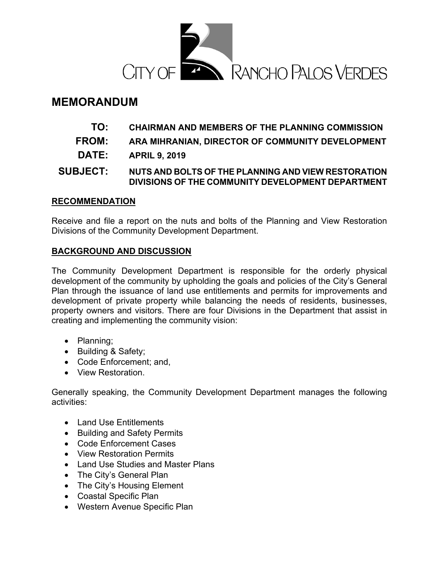

# **MEMORANDUM**

- **TO: CHAIRMAN AND MEMBERS OF THE PLANNING COMMISSION**
- **FROM: ARA MIHRANIAN, DIRECTOR OF COMMUNITY DEVELOPMENT**
- **DATE: APRIL 9, 2019**

# **SUBJECT: NUTS AND BOLTS OF THE PLANNING AND VIEW RESTORATION DIVISIONS OF THE COMMUNITY DEVELOPMENT DEPARTMENT**

## **RECOMMENDATION**

Receive and file a report on the nuts and bolts of the Planning and View Restoration Divisions of the Community Development Department.

## **BACKGROUND AND DISCUSSION**

The Community Development Department is responsible for the orderly physical development of the community by upholding the goals and policies of the City's General Plan through the issuance of land use entitlements and permits for improvements and development of private property while balancing the needs of residents, businesses, property owners and visitors. There are four Divisions in the Department that assist in creating and implementing the community vision:

- Planning;
- Building & Safety;
- Code Enforcement; and,
- View Restoration.

Generally speaking, the Community Development Department manages the following activities:

- Land Use Entitlements
- Building and Safety Permits
- Code Enforcement Cases
- View Restoration Permits
- Land Use Studies and Master Plans
- The City's General Plan
- The City's Housing Element
- Coastal Specific Plan
- Western Avenue Specific Plan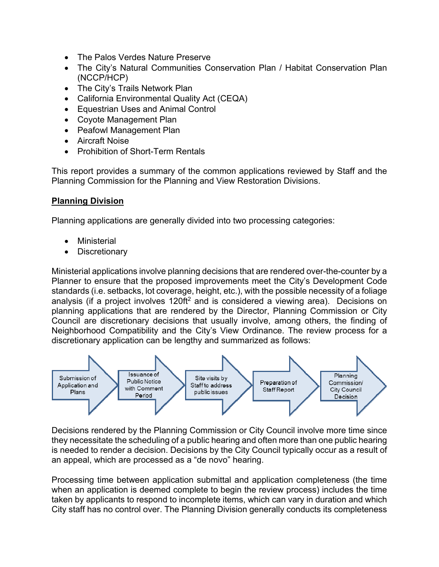- The Palos Verdes Nature Preserve
- The City's Natural Communities Conservation Plan / Habitat Conservation Plan (NCCP/HCP)
- The City's Trails Network Plan
- California Environmental Quality Act (CEQA)
- Equestrian Uses and Animal Control
- Coyote Management Plan
- Peafowl Management Plan
- Aircraft Noise
- Prohibition of Short-Term Rentals

This report provides a summary of the common applications reviewed by Staff and the Planning Commission for the Planning and View Restoration Divisions.

## **Planning Division**

Planning applications are generally divided into two processing categories:

- **Ministerial**
- **Discretionary**

Ministerial applications involve planning decisions that are rendered over-the-counter by a Planner to ensure that the proposed improvements meet the City's Development Code standards (i.e. setbacks, lot coverage, height, etc.), with the possible necessity of a foliage analysis (if a project involves  $120\text{ft}^2$  and is considered a viewing area). Decisions on planning applications that are rendered by the Director, Planning Commission or City Council are discretionary decisions that usually involve, among others, the finding of Neighborhood Compatibility and the City's View Ordinance. The review process for a discretionary application can be lengthy and summarized as follows:



Decisions rendered by the Planning Commission or City Council involve more time since they necessitate the scheduling of a public hearing and often more than one public hearing is needed to render a decision. Decisions by the City Council typically occur as a result of an appeal, which are processed as a "de novo" hearing.

Processing time between application submittal and application completeness (the time when an application is deemed complete to begin the review process) includes the time taken by applicants to respond to incomplete items, which can vary in duration and which City staff has no control over. The Planning Division generally conducts its completeness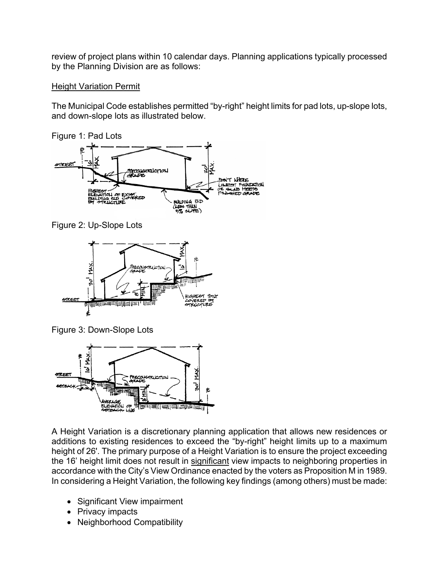review of project plans within 10 calendar days. Planning applications typically processed by the Planning Division are as follows:

## Height Variation Permit

The Municipal Code establishes permitted "by-right" height limits for pad lots, up-slope lots, and down-slope lots as illustrated below.

Figure 1: Pad Lots



Figure 2: Up-Slope Lots



Figure 3: Down-Slope Lots



A Height Variation is a discretionary planning application that allows new residences or additions to existing residences to exceed the "by-right" height limits up to a maximum height of 26'. The primary purpose of a Height Variation is to ensure the project exceeding the 16' height limit does not result in significant view impacts to neighboring properties in accordance with the City's View Ordinance enacted by the voters as Proposition M in 1989. In considering a Height Variation, the following key findings (among others) must be made:

- Significant View impairment
- Privacy impacts
- Neighborhood Compatibility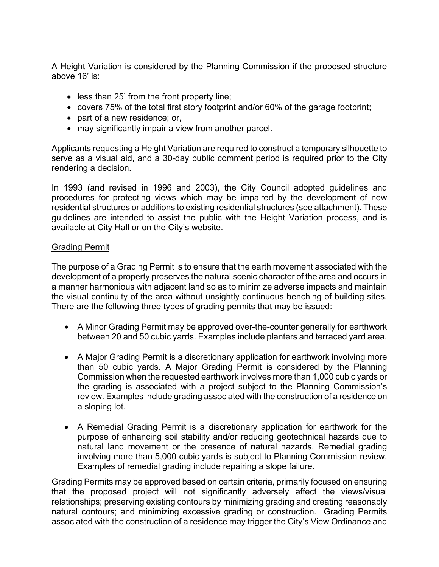A Height Variation is considered by the Planning Commission if the proposed structure above 16' is:

- less than 25' from the front property line;
- covers 75% of the total first story footprint and/or 60% of the garage footprint;
- part of a new residence; or,
- may significantly impair a view from another parcel.

Applicants requesting a Height Variation are required to construct a temporary silhouette to serve as a visual aid, and a 30-day public comment period is required prior to the City rendering a decision.

In 1993 (and revised in 1996 and 2003), the City Council adopted guidelines and procedures for protecting views which may be impaired by the development of new residential structures or additions to existing residential structures (see attachment). These guidelines are intended to assist the public with the Height Variation process, and is available at City Hall or on the City's website.

## Grading Permit

The purpose of a Grading Permit is to ensure that the earth movement associated with the development of a property preserves the natural scenic character of the area and occurs in a manner harmonious with adjacent land so as to minimize adverse impacts and maintain the visual continuity of the area without unsightly continuous benching of building sites. There are the following three types of grading permits that may be issued:

- A Minor Grading Permit may be approved over-the-counter generally for earthwork between 20 and 50 cubic yards. Examples include planters and terraced yard area.
- A Major Grading Permit is a discretionary application for earthwork involving more than 50 cubic yards. A Major Grading Permit is considered by the Planning Commission when the requested earthwork involves more than 1,000 cubic yards or the grading is associated with a project subject to the Planning Commission's review. Examples include grading associated with the construction of a residence on a sloping lot.
- A Remedial Grading Permit is a discretionary application for earthwork for the purpose of enhancing soil stability and/or reducing geotechnical hazards due to natural land movement or the presence of natural hazards. Remedial grading involving more than 5,000 cubic yards is subject to Planning Commission review. Examples of remedial grading include repairing a slope failure.

Grading Permits may be approved based on certain criteria, primarily focused on ensuring that the proposed project will not significantly adversely affect the views/visual relationships; preserving existing contours by minimizing grading and creating reasonably natural contours; and minimizing excessive grading or construction. Grading Permits associated with the construction of a residence may trigger the City's View Ordinance and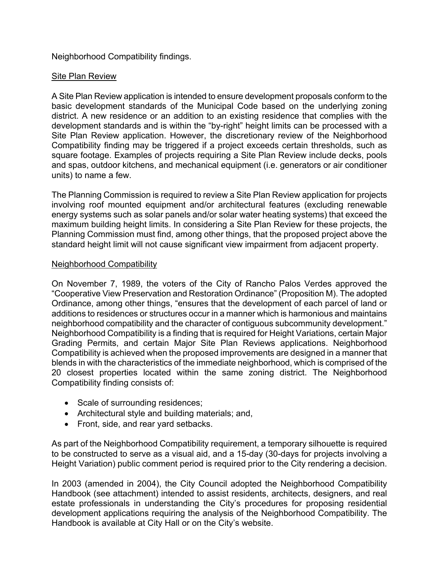## Neighborhood Compatibility findings.

## Site Plan Review

A Site Plan Review application is intended to ensure development proposals conform to the basic development standards of the Municipal Code based on the underlying zoning district. A new residence or an addition to an existing residence that complies with the development standards and is within the "by-right" height limits can be processed with a Site Plan Review application. However, the discretionary review of the Neighborhood Compatibility finding may be triggered if a project exceeds certain thresholds, such as square footage. Examples of projects requiring a Site Plan Review include decks, pools and spas, outdoor kitchens, and mechanical equipment (i.e. generators or air conditioner units) to name a few.

The Planning Commission is required to review a Site Plan Review application for projects involving roof mounted equipment and/or architectural features (excluding renewable energy systems such as solar panels and/or solar water heating systems) that exceed the maximum building height limits. In considering a Site Plan Review for these projects, the Planning Commission must find, among other things, that the proposed project above the standard height limit will not cause significant view impairment from adjacent property.

## Neighborhood Compatibility

On November 7, 1989, the voters of the City of Rancho Palos Verdes approved the "Cooperative View Preservation and Restoration Ordinance" (Proposition M). The adopted Ordinance, among other things, "ensures that the development of each parcel of land or additions to residences or structures occur in a manner which is harmonious and maintains neighborhood compatibility and the character of contiguous subcommunity development." Neighborhood Compatibility is a finding that is required for Height Variations, certain Major Grading Permits, and certain Major Site Plan Reviews applications. Neighborhood Compatibility is achieved when the proposed improvements are designed in a manner that blends in with the characteristics of the immediate neighborhood, which is comprised of the 20 closest properties located within the same zoning district. The Neighborhood Compatibility finding consists of:

- Scale of surrounding residences;
- Architectural style and building materials; and,
- Front, side, and rear vard setbacks.

As part of the Neighborhood Compatibility requirement, a temporary silhouette is required to be constructed to serve as a visual aid, and a 15-day (30-days for projects involving a Height Variation) public comment period is required prior to the City rendering a decision.

In 2003 (amended in 2004), the City Council adopted the Neighborhood Compatibility Handbook (see attachment) intended to assist residents, architects, designers, and real estate professionals in understanding the City's procedures for proposing residential development applications requiring the analysis of the Neighborhood Compatibility. The Handbook is available at City Hall or on the City's website.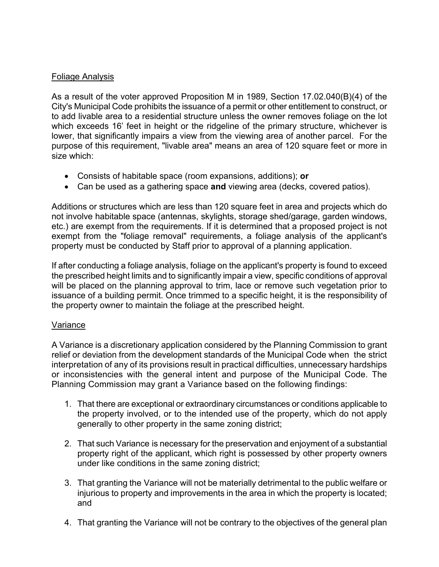## Foliage Analysis

As a result of the voter approved Proposition M in 1989, Section 17.02.040(B)(4) of the City's Municipal Code prohibits the issuance of a permit or other entitlement to construct, or to add livable area to a residential structure unless the owner removes foliage on the lot which exceeds 16' feet in height or the ridgeline of the primary structure, whichever is lower, that significantly impairs a view from the viewing area of another parcel. For the purpose of this requirement, "livable area" means an area of 120 square feet or more in size which:

- Consists of habitable space (room expansions, additions); **or**
- Can be used as a gathering space **and** viewing area (decks, covered patios).

Additions or structures which are less than 120 square feet in area and projects which do not involve habitable space (antennas, skylights, storage shed/garage, garden windows, etc.) are exempt from the requirements. If it is determined that a proposed project is not exempt from the "foliage removal" requirements, a foliage analysis of the applicant's property must be conducted by Staff prior to approval of a planning application.

If after conducting a foliage analysis, foliage on the applicant's property is found to exceed the prescribed height limits and to significantly impair a view, specific conditions of approval will be placed on the planning approval to trim, lace or remove such vegetation prior to issuance of a building permit. Once trimmed to a specific height, it is the responsibility of the property owner to maintain the foliage at the prescribed height.

## Variance

A Variance is a discretionary application considered by the Planning Commission to grant relief or deviation from the development standards of the Municipal Code when the strict interpretation of any of its provisions result in practical difficulties, unnecessary hardships or inconsistencies with the general intent and purpose of the Municipal Code. The Planning Commission may grant a Variance based on the following findings:

- 1. That there are exceptional or extraordinary circumstances or conditions applicable to the property involved, or to the intended use of the property, which do not apply generally to other property in the same zoning district;
- 2. That such Variance is necessary for the preservation and enjoyment of a substantial property right of the applicant, which right is possessed by other property owners under like conditions in the same zoning district;
- 3. That granting the Variance will not be materially detrimental to the public welfare or injurious to property and improvements in the area in which the property is located; and
- 4. That granting the Variance will not be contrary to the objectives of the general plan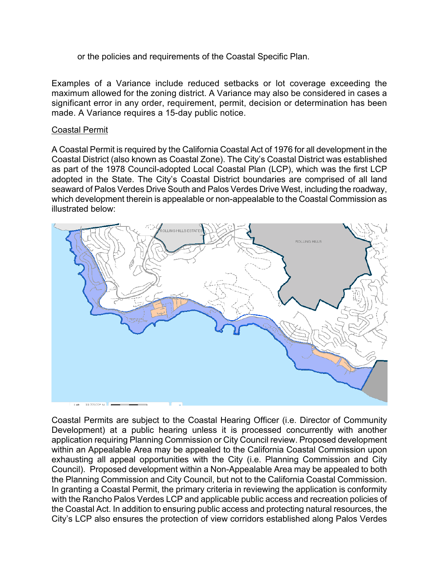or the policies and requirements of the Coastal Specific Plan.

Examples of a Variance include reduced setbacks or lot coverage exceeding the maximum allowed for the zoning district. A Variance may also be considered in cases a significant error in any order, requirement, permit, decision or determination has been made. A Variance requires a 15-day public notice.

#### Coastal Permit

A Coastal Permit is required by the California Coastal Act of 1976 for all development in the Coastal District (also known as Coastal Zone). The City's Coastal District was established as part of the 1978 Council-adopted Local Coastal Plan (LCP), which was the first LCP adopted in the State. The City's Coastal District boundaries are comprised of all land seaward of Palos Verdes Drive South and Palos Verdes Drive West, including the roadway, which development therein is appealable or non-appealable to the Coastal Commission as illustrated below:



Coastal Permits are subject to the Coastal Hearing Officer (i.e. Director of Community Development) at a public hearing unless it is processed concurrently with another application requiring Planning Commission or City Council review. Proposed development within an Appealable Area may be appealed to the California Coastal Commission upon exhausting all appeal opportunities with the City (i.e. Planning Commission and City Council). Proposed development within a Non-Appealable Area may be appealed to both the Planning Commission and City Council, but not to the California Coastal Commission. In granting a Coastal Permit, the primary criteria in reviewing the application is conformity with the Rancho Palos Verdes LCP and applicable public access and recreation policies of the Coastal Act. In addition to ensuring public access and protecting natural resources, the City's LCP also ensures the protection of view corridors established along Palos Verdes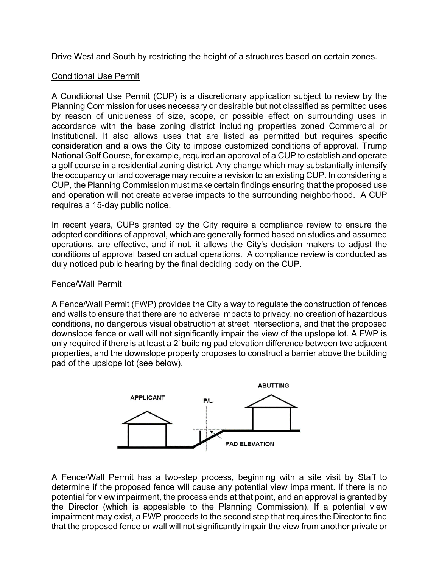Drive West and South by restricting the height of a structures based on certain zones.

## Conditional Use Permit

A Conditional Use Permit (CUP) is a discretionary application subject to review by the Planning Commission for uses necessary or desirable but not classified as permitted uses by reason of uniqueness of size, scope, or possible effect on surrounding uses in accordance with the base zoning district including properties zoned Commercial or Institutional. It also allows uses that are listed as permitted but requires specific consideration and allows the City to impose customized conditions of approval. Trump National Golf Course, for example, required an approval of a CUP to establish and operate a golf course in a residential zoning district. Any change which may substantially intensify the occupancy or land coverage may require a revision to an existing CUP. In considering a CUP, the Planning Commission must make certain findings ensuring that the proposed use and operation will not create adverse impacts to the surrounding neighborhood. A CUP requires a 15-day public notice.

In recent years, CUPs granted by the City require a compliance review to ensure the adopted conditions of approval, which are generally formed based on studies and assumed operations, are effective, and if not, it allows the City's decision makers to adjust the conditions of approval based on actual operations. A compliance review is conducted as duly noticed public hearing by the final deciding body on the CUP.

## Fence/Wall Permit

A Fence/Wall Permit (FWP) provides the City a way to regulate the construction of fences and walls to ensure that there are no adverse impacts to privacy, no creation of hazardous conditions, no dangerous visual obstruction at street intersections, and that the proposed downslope fence or wall will not significantly impair the view of the upslope lot. A FWP is only required if there is at least a 2' building pad elevation difference between two adjacent properties, and the downslope property proposes to construct a barrier above the building pad of the upslope lot (see below).



A Fence/Wall Permit has a two-step process, beginning with a site visit by Staff to determine if the proposed fence will cause any potential view impairment. If there is no potential for view impairment, the process ends at that point, and an approval is granted by the Director (which is appealable to the Planning Commission). If a potential view impairment may exist, a FWP proceeds to the second step that requires the Director to find that the proposed fence or wall will not significantly impair the view from another private or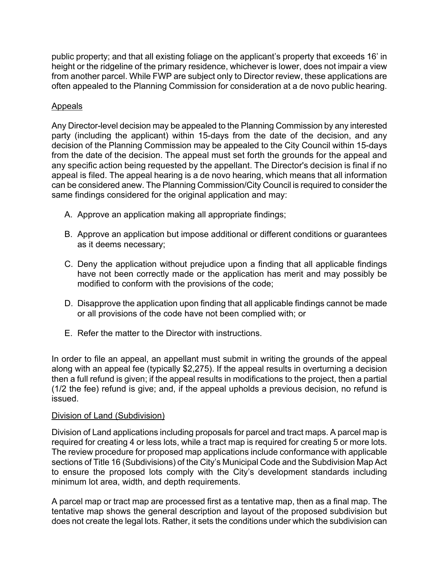public property; and that all existing foliage on the applicant's property that exceeds 16' in height or the ridgeline of the primary residence, whichever is lower, does not impair a view from another parcel. While FWP are subject only to Director review, these applications are often appealed to the Planning Commission for consideration at a de novo public hearing.

## **Appeals**

Any Director-level decision may be appealed to the Planning Commission by any interested party (including the applicant) within 15-days from the date of the decision, and any decision of the Planning Commission may be appealed to the City Council within 15-days from the date of the decision. The appeal must set forth the grounds for the appeal and any specific action being requested by the appellant. The Director's decision is final if no appeal is filed. The appeal hearing is a de novo hearing, which means that all information can be considered anew. The Planning Commission/City Council is required to consider the same findings considered for the original application and may:

- A. Approve an application making all appropriate findings;
- B. Approve an application but impose additional or different conditions or guarantees as it deems necessary;
- C. Deny the application without prejudice upon a finding that all applicable findings have not been correctly made or the application has merit and may possibly be modified to conform with the provisions of the code;
- D. Disapprove the application upon finding that all applicable findings cannot be made or all provisions of the code have not been complied with; or
- E. Refer the matter to the Director with instructions.

In order to file an appeal, an appellant must submit in writing the grounds of the appeal along with an appeal fee (typically \$2,275). If the appeal results in overturning a decision then a full refund is given; if the appeal results in modifications to the project, then a partial (1/2 the fee) refund is give; and, if the appeal upholds a previous decision, no refund is issued.

## Division of Land (Subdivision)

Division of Land applications including proposals for parcel and tract maps. A parcel map is required for creating 4 or less lots, while a tract map is required for creating 5 or more lots. The review procedure for proposed map applications include conformance with applicable sections of Title 16 (Subdivisions) of the City's Municipal Code and the Subdivision Map Act to ensure the proposed lots comply with the City's development standards including minimum lot area, width, and depth requirements.

A parcel map or tract map are processed first as a tentative map, then as a final map. The tentative map shows the general description and layout of the proposed subdivision but does not create the legal lots. Rather, it sets the conditions under which the subdivision can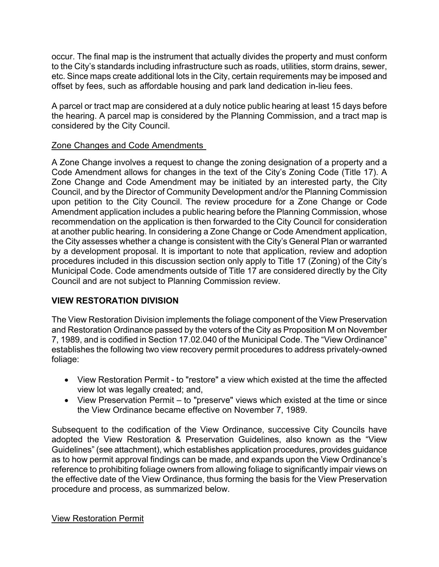occur. The final map is the instrument that actually divides the property and must conform to the City's standards including infrastructure such as roads, utilities, storm drains, sewer, etc. Since maps create additional lots in the City, certain requirements may be imposed and offset by fees, such as affordable housing and park land dedication in-lieu fees.

A parcel or tract map are considered at a duly notice public hearing at least 15 days before the hearing. A parcel map is considered by the Planning Commission, and a tract map is considered by the City Council.

## Zone Changes and Code Amendments

A Zone Change involves a request to change the zoning designation of a property and a Code Amendment allows for changes in the text of the City's Zoning Code (Title 17). A Zone Change and Code Amendment may be initiated by an interested party, the City Council, and by the Director of Community Development and/or the Planning Commission upon petition to the City Council. The review procedure for a Zone Change or Code Amendment application includes a public hearing before the Planning Commission, whose recommendation on the application is then forwarded to the City Council for consideration at another public hearing. In considering a Zone Change or Code Amendment application, the City assesses whether a change is consistent with the City's General Plan or warranted by a development proposal. It is important to note that application, review and adoption procedures included in this discussion section only apply to Title 17 (Zoning) of the City's Municipal Code. Code amendments outside of Title 17 are considered directly by the City Council and are not subject to Planning Commission review.

# **VIEW RESTORATION DIVISION**

The View Restoration Division implements the foliage component of the View Preservation and Restoration Ordinance passed by the voters of the City as Proposition M on November 7, 1989, and is codified in Section 17.02.040 of the Municipal Code. The "View Ordinance" establishes the following two view recovery permit procedures to address privately-owned foliage:

- View Restoration Permit to "restore" a view which existed at the time the affected view lot was legally created; and,
- View Preservation Permit to "preserve" views which existed at the time or since the View Ordinance became effective on November 7, 1989.

Subsequent to the codification of the View Ordinance, successive City Councils have adopted the View Restoration & Preservation Guidelines, also known as the "View Guidelines" (see attachment), which establishes application procedures, provides guidance as to how permit approval findings can be made, and expands upon the View Ordinance's reference to prohibiting foliage owners from allowing foliage to significantly impair views on the effective date of the View Ordinance, thus forming the basis for the View Preservation procedure and process, as summarized below.

View Restoration Permit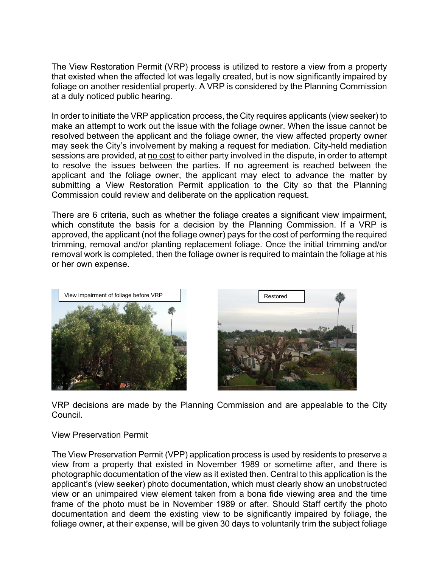The View Restoration Permit (VRP) process is utilized to restore a view from a property that existed when the affected lot was legally created, but is now significantly impaired by foliage on another residential property. A VRP is considered by the Planning Commission at a duly noticed public hearing.

In order to initiate the VRP application process, the City requires applicants (view seeker) to make an attempt to work out the issue with the foliage owner. When the issue cannot be resolved between the applicant and the foliage owner, the view affected property owner may seek the City's involvement by making a request for mediation. City-held mediation sessions are provided, at no cost to either party involved in the dispute, in order to attempt to resolve the issues between the parties. If no agreement is reached between the applicant and the foliage owner, the applicant may elect to advance the matter by submitting a View Restoration Permit application to the City so that the Planning Commission could review and deliberate on the application request.

There are 6 criteria, such as whether the foliage creates a significant view impairment, which constitute the basis for a decision by the Planning Commission. If a VRP is approved, the applicant (not the foliage owner) pays for the cost of performing the required trimming, removal and/or planting replacement foliage. Once the initial trimming and/or removal work is completed, then the foliage owner is required to maintain the foliage at his or her own expense.





VRP decisions are made by the Planning Commission and are appealable to the City Council.

## View Preservation Permit

The View Preservation Permit (VPP) application process is used by residents to preserve a view from a property that existed in November 1989 or sometime after, and there is photographic documentation of the view as it existed then. Central to this application is the applicant's (view seeker) photo documentation, which must clearly show an unobstructed view or an unimpaired view element taken from a bona fide viewing area and the time frame of the photo must be in November 1989 or after. Should Staff certify the photo documentation and deem the existing view to be significantly impaired by foliage, the foliage owner, at their expense, will be given 30 days to voluntarily trim the subject foliage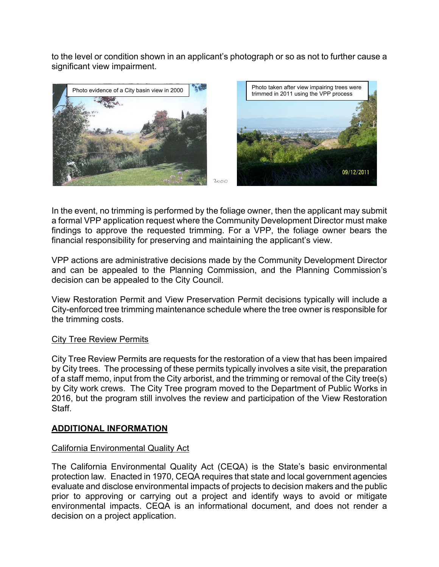to the level or condition shown in an applicant's photograph or so as not to further cause a significant view impairment.



In the event, no trimming is performed by the foliage owner, then the applicant may submit a formal VPP application request where the Community Development Director must make findings to approve the requested trimming. For a VPP, the foliage owner bears the financial responsibility for preserving and maintaining the applicant's view.

VPP actions are administrative decisions made by the Community Development Director and can be appealed to the Planning Commission, and the Planning Commission's decision can be appealed to the City Council.

View Restoration Permit and View Preservation Permit decisions typically will include a City-enforced tree trimming maintenance schedule where the tree owner is responsible for the trimming costs.

## City Tree Review Permits

City Tree Review Permits are requests for the restoration of a view that has been impaired by City trees. The processing of these permits typically involves a site visit, the preparation of a staff memo, input from the City arborist, and the trimming or removal of the City tree(s) by City work crews. The City Tree program moved to the Department of Public Works in 2016, but the program still involves the review and participation of the View Restoration Staff.

## **ADDITIONAL INFORMATION**

## California Environmental Quality Act

The California Environmental Quality Act (CEQA) is the State's basic environmental protection law. Enacted in 1970, CEQA requires that state and local government agencies evaluate and disclose environmental impacts of projects to decision makers and the public prior to approving or carrying out a project and identify ways to avoid or mitigate environmental impacts. CEQA is an informational document, and does not render a decision on a project application.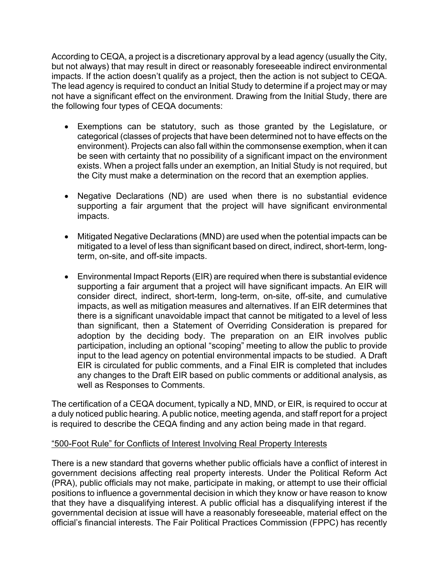According to CEQA, a project is a discretionary approval by a lead agency (usually the City, but not always) that may result in direct or reasonably foreseeable indirect environmental impacts. If the action doesn't qualify as a project, then the action is not subject to CEQA. The lead agency is required to conduct an Initial Study to determine if a project may or may not have a significant effect on the environment. Drawing from the Initial Study, there are the following four types of CEQA documents:

- Exemptions can be statutory, such as those granted by the Legislature, or categorical (classes of projects that have been determined not to have effects on the environment). Projects can also fall within the commonsense exemption, when it can be seen with certainty that no possibility of a significant impact on the environment exists. When a project falls under an exemption, an Initial Study is not required, but the City must make a determination on the record that an exemption applies.
- Negative Declarations (ND) are used when there is no substantial evidence supporting a fair argument that the project will have significant environmental impacts.
- Mitigated Negative Declarations (MND) are used when the potential impacts can be mitigated to a level of less than significant based on direct, indirect, short-term, longterm, on-site, and off-site impacts.
- Environmental Impact Reports (EIR) are required when there is substantial evidence supporting a fair argument that a project will have significant impacts. An EIR will consider direct, indirect, short-term, long-term, on-site, off-site, and cumulative impacts, as well as mitigation measures and alternatives. If an EIR determines that there is a significant unavoidable impact that cannot be mitigated to a level of less than significant, then a Statement of Overriding Consideration is prepared for adoption by the deciding body. The preparation on an EIR involves public participation, including an optional "scoping" meeting to allow the public to provide input to the lead agency on potential environmental impacts to be studied. A Draft EIR is circulated for public comments, and a Final EIR is completed that includes any changes to the Draft EIR based on public comments or additional analysis, as well as Responses to Comments.

The certification of a CEQA document, typically a ND, MND, or EIR, is required to occur at a duly noticed public hearing. A public notice, meeting agenda, and staff report for a project is required to describe the CEQA finding and any action being made in that regard.

## "500-Foot Rule" for Conflicts of Interest Involving Real Property Interests

There is a new standard that governs whether public officials have a conflict of interest in government decisions affecting real property interests. Under the Political Reform Act (PRA), public officials may not make, participate in making, or attempt to use their official positions to influence a governmental decision in which they know or have reason to know that they have a disqualifying interest. A public official has a disqualifying interest if the governmental decision at issue will have a reasonably foreseeable, material effect on the official's financial interests. The Fair Political Practices Commission (FPPC) has recently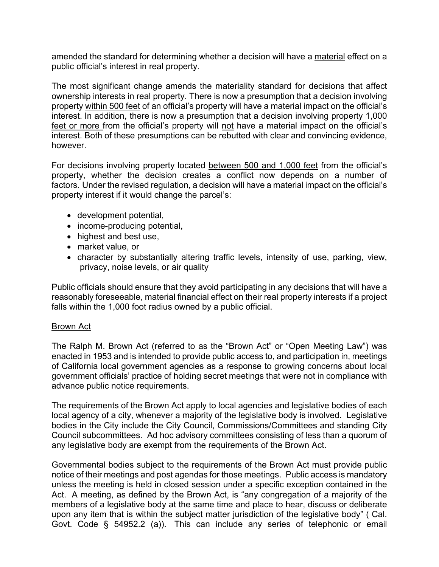amended the standard for determining whether a decision will have a material effect on a public official's interest in real property.

The most significant change amends the materiality standard for decisions that affect ownership interests in real property. There is now a presumption that a decision involving property within 500 feet of an official's property will have a material impact on the official's interest. In addition, there is now a presumption that a decision involving property 1,000 feet or more from the official's property will not have a material impact on the official's interest. Both of these presumptions can be rebutted with clear and convincing evidence, however.

For decisions involving property located between 500 and 1,000 feet from the official's property, whether the decision creates a conflict now depends on a number of factors. Under the revised regulation, a decision will have a material impact on the official's property interest if it would change the parcel's:

- development potential,
- income-producing potential,
- highest and best use,
- market value, or
- character by substantially altering traffic levels, intensity of use, parking, view, privacy, noise levels, or air quality

Public officials should ensure that they avoid participating in any decisions that will have a reasonably foreseeable, material financial effect on their real property interests if a project falls within the 1,000 foot radius owned by a public official.

## Brown Act

The Ralph M. Brown Act (referred to as the "Brown Act" or "Open Meeting Law") was enacted in 1953 and is intended to provide public access to, and participation in, meetings of California local government agencies as a response to growing concerns about local government officials' practice of holding secret meetings that were not in compliance with advance public notice requirements.

The requirements of the Brown Act apply to local agencies and legislative bodies of each local agency of a city, whenever a majority of the legislative body is involved. Legislative bodies in the City include the City Council, Commissions/Committees and standing City Council subcommittees. Ad hoc advisory committees consisting of less than a quorum of any legislative body are exempt from the requirements of the Brown Act.

Governmental bodies subject to the requirements of the Brown Act must provide public notice of their meetings and post agendas for those meetings. Public access is mandatory unless the meeting is held in closed session under a specific exception contained in the Act. A meeting, as defined by the Brown Act, is "any congregation of a majority of the members of a legislative body at the same time and place to hear, discuss or deliberate upon any item that is within the subject matter jurisdiction of the legislative body" ( Cal. Govt. Code § 54952.2 (a)). This can include any series of telephonic or email